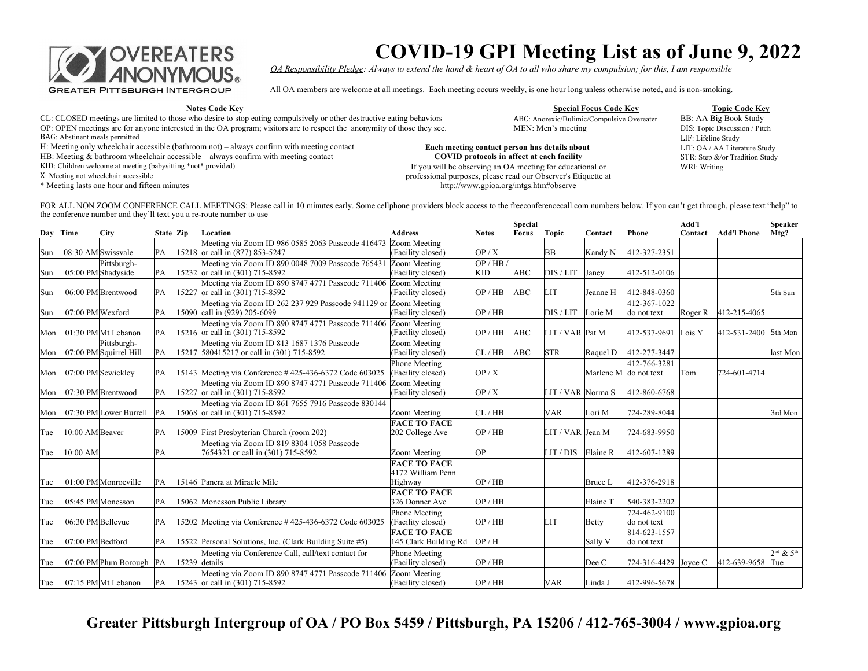

## **COVID-19 GPI Meeting List as of June 9, 2022**

*OA Responsibility Pledge: Always to extend the hand & heart of OA to all who share my compulsion; for this, I am responsible*

All OA members are welcome at all meetings. Each meeting occurs weekly, is one hour long unless otherwise noted, and is non-smoking.

**Notes Code Key Special Focus Code Key Topic Code Key**

- CL: CLOSED meetings are limited to those who desire to stop eating compulsively or other destructive eating behaviors ABC: Anorexic/Bulimic/Compulsive Overeater BB: AA Big Book Study<br>OP: OPEN meetings are for anyone intere OP: OPEN meetings are for anyone interested in the OA program; visitors are to respect the anonymity of those they see.
- BAG: Abstinent meals permitted LIF: Lifeline Study
- H: Meeting only wheelchair accessible (bathroom not) always confirm with meeting contact
- HB: Meeting  $&$  bathroom wheelchair accessible always confirm with meeting contact
- KID: Children welcome at meeting (babysitting \*not\* provided) If you will be observing an OA meeting for educational or

X: Meeting not wheelchair accessible

\* Meeting lasts one hour and fifteen minutes

ABC: Anorexic/Bulimic/Compulsive Overeater

## **Each meeting contact person has details about COVID protocols in affect at each facility**

professional purposes, please read our Observer's Etiquette at http://www.gpioa.org/mtgs.htm#observe

DIS: Topic Discussion / Pitch LIT: OA / AA Literature Study STR: Step &/or Tradition Study WRI: Writing

FOR ALL NON ZOOM CONFERENCE CALL MEETINGS: Please call in 10 minutes early. Some cellphone providers block access to the freeconferencecall.com numbers below. If you can't get through, please text "help" to the conference number and they'll text you a re-route number to use **Special Add'l Speaker** 

| Day Time<br><b>City</b><br>State Zip<br>Location<br><b>Address</b><br>Focus<br>Topic<br>Contact<br><b>Notes</b><br>Contact<br>Phone<br>Meeting via Zoom ID 986 0585 2063 Passcode 416473<br>Zoom Meeting<br>15218 or call in (877) 853-5247<br>OP/X<br>412-327-2351<br>08:30 AM Swissvale<br>(Facility closed)<br>BB<br>PA<br>Kandy N<br>Sun<br>Meeting via Zoom ID 890 0048 7009 Passcode 765431<br>OP / HB<br>Pittsburgh-<br>Zoom Meeting<br>05:00 PM Shadyside<br>15232 or call in (301) 715-8592<br>(Facility closed)<br><b>KID</b><br>ABC<br>PA<br>DIS / LIT<br>412-512-0106<br>Sun<br>Janey<br>Meeting via Zoom ID 890 8747 4771 Passcode 711406<br>Zoom Meeting | <b>Add'l Phone</b><br>Mtg?<br>5th Sun |
|------------------------------------------------------------------------------------------------------------------------------------------------------------------------------------------------------------------------------------------------------------------------------------------------------------------------------------------------------------------------------------------------------------------------------------------------------------------------------------------------------------------------------------------------------------------------------------------------------------------------------------------------------------------------|---------------------------------------|
|                                                                                                                                                                                                                                                                                                                                                                                                                                                                                                                                                                                                                                                                        |                                       |
|                                                                                                                                                                                                                                                                                                                                                                                                                                                                                                                                                                                                                                                                        |                                       |
|                                                                                                                                                                                                                                                                                                                                                                                                                                                                                                                                                                                                                                                                        |                                       |
|                                                                                                                                                                                                                                                                                                                                                                                                                                                                                                                                                                                                                                                                        |                                       |
|                                                                                                                                                                                                                                                                                                                                                                                                                                                                                                                                                                                                                                                                        |                                       |
|                                                                                                                                                                                                                                                                                                                                                                                                                                                                                                                                                                                                                                                                        |                                       |
| ABC<br>412-848-0360<br>06:00 PM Brentwood<br>15227 or call in (301) 715-8592<br>OP / HB<br><b>LIT</b><br>PА<br>(Facility closed)<br>Sun<br>Jeanne H                                                                                                                                                                                                                                                                                                                                                                                                                                                                                                                    |                                       |
| Meeting via Zoom ID 262 237 929 Passcode 941129 or<br>Zoom Meeting<br>412-367-1022                                                                                                                                                                                                                                                                                                                                                                                                                                                                                                                                                                                     |                                       |
| 15090 call in (929) 205-6099<br>OP / HB<br>07:00 PM Wexford<br>(Facility closed)<br>DIS / LIT<br>Lorie M<br>Sun<br>PA<br>do not text<br>Roger R                                                                                                                                                                                                                                                                                                                                                                                                                                                                                                                        | 412-215-4065                          |
| Meeting via Zoom ID 890 8747 4771 Passcode 711406<br>Zoom Meeting                                                                                                                                                                                                                                                                                                                                                                                                                                                                                                                                                                                                      |                                       |
| OP / HB<br>ABC<br>01:30 PM Mt Lebanon<br>15216 or call in (301) 715-8592<br>(Facility closed)<br>LIT / VAR Pat M<br>412-537-9691<br>PA<br>Lois Y<br>Mon                                                                                                                                                                                                                                                                                                                                                                                                                                                                                                                | $ 412-531-2400 $ 5th Mon              |
| Meeting via Zoom ID 813 1687 1376 Passcode<br>Zoom Meeting<br>Pittsburgh-                                                                                                                                                                                                                                                                                                                                                                                                                                                                                                                                                                                              |                                       |
| CL / HB<br>07:00 PM Squirrel Hill<br>[15217 580415217 or call in (301) 715-8592<br>(Facility closed)<br>ABC<br><b>STR</b><br>412-277-3447<br>PА<br>Raquel D<br>Mon                                                                                                                                                                                                                                                                                                                                                                                                                                                                                                     | last Mon                              |
| 412-766-3281<br>Phone Meeting                                                                                                                                                                                                                                                                                                                                                                                                                                                                                                                                                                                                                                          |                                       |
| (Facility closed)<br>OP/X<br>07:00 PM Sewickley<br>15143 Meeting via Conference #425-436-6372 Code 603025<br>PA<br>Marlene M do not text<br>Tom<br>Mon                                                                                                                                                                                                                                                                                                                                                                                                                                                                                                                 | 724-601-4714                          |
| Meeting via Zoom ID 890 8747 4771 Passcode 711406<br>Zoom Meeting                                                                                                                                                                                                                                                                                                                                                                                                                                                                                                                                                                                                      |                                       |
| 15227 or call in (301) 715-8592<br>07:30 PM Brentwood<br>(Facility closed)<br>OP/X<br>LIT / VAR Norma S<br>412-860-6768<br>PА<br>Mon                                                                                                                                                                                                                                                                                                                                                                                                                                                                                                                                   |                                       |
| Meeting via Zoom ID 861 7655 7916 Passcode 830144                                                                                                                                                                                                                                                                                                                                                                                                                                                                                                                                                                                                                      |                                       |
| 15068 or call in (301) 715-8592<br>CL/HB<br>724-289-8044<br>07:30 PM Lower Burrell<br>Zoom Meeting<br><b>VAR</b><br>PA<br>Lori M<br>Mon                                                                                                                                                                                                                                                                                                                                                                                                                                                                                                                                | 3rd Mon                               |
| <b>FACE TO FACE</b>                                                                                                                                                                                                                                                                                                                                                                                                                                                                                                                                                                                                                                                    |                                       |
| OP / HB<br>724-683-9950<br>10:00 AM Beaver<br>15009 First Presbyterian Church (room 202)<br>202 College Ave<br>LIT / VAR Jean M<br>Tue<br>PA                                                                                                                                                                                                                                                                                                                                                                                                                                                                                                                           |                                       |
| Meeting via Zoom ID 819 8304 1058 Passcode                                                                                                                                                                                                                                                                                                                                                                                                                                                                                                                                                                                                                             |                                       |
| OP<br>412-607-1289<br>$10:00$ AM<br>PА<br>7654321 or call in (301) 715-8592<br>LIT/DIS<br>Zoom Meeting<br>Elaine R<br>Tue                                                                                                                                                                                                                                                                                                                                                                                                                                                                                                                                              |                                       |
| <b>FACE TO FACE</b>                                                                                                                                                                                                                                                                                                                                                                                                                                                                                                                                                                                                                                                    |                                       |
| 4172 William Penn                                                                                                                                                                                                                                                                                                                                                                                                                                                                                                                                                                                                                                                      |                                       |
| 01:00 PM Monroeville<br>OP / HB<br>412-376-2918<br>15146 Panera at Miracle Mile<br>Tue<br>PA<br>Highway<br>Bruce L                                                                                                                                                                                                                                                                                                                                                                                                                                                                                                                                                     |                                       |
| <b>FACE TO FACE</b>                                                                                                                                                                                                                                                                                                                                                                                                                                                                                                                                                                                                                                                    |                                       |
| 540-383-2202<br>05:45 PM Monesson<br>15062 Monesson Public Library<br>326 Donner Ave<br>OP / HB<br>PA<br>Elaine T<br>Tue                                                                                                                                                                                                                                                                                                                                                                                                                                                                                                                                               |                                       |
| 724-462-9100<br>Phone Meeting                                                                                                                                                                                                                                                                                                                                                                                                                                                                                                                                                                                                                                          |                                       |
| (Facility closed)<br>OP / HB<br>06:30 PM Bellevue<br>15202 Meeting via Conference #425-436-6372 Code 603025<br>LIT<br>do not text<br>PA<br>Betty<br>Tue                                                                                                                                                                                                                                                                                                                                                                                                                                                                                                                |                                       |
| 814-623-1557<br><b>FACE TO FACE</b>                                                                                                                                                                                                                                                                                                                                                                                                                                                                                                                                                                                                                                    |                                       |
| OP/H<br>07:00 PM Bedford<br>15522 Personal Solutions, Inc. (Clark Building Suite #5)<br>145 Clark Building Rd<br>Sally V<br>do not text<br>Tue<br>PA                                                                                                                                                                                                                                                                                                                                                                                                                                                                                                                   |                                       |
| Phone Meeting<br>Meeting via Conference Call, call/text contact for                                                                                                                                                                                                                                                                                                                                                                                                                                                                                                                                                                                                    | $2nd$ & $5th$                         |
| $15239$ details<br>(Facility closed)<br>OP / HB<br>724-316-4429 Joyce C<br>07:00 PM Plum Borough  PA<br>Dee C<br>Tue                                                                                                                                                                                                                                                                                                                                                                                                                                                                                                                                                   | 412-639-9658<br>Tue                   |
| Meeting via Zoom ID 890 8747 4771 Passcode 711406<br>Zoom Meeting                                                                                                                                                                                                                                                                                                                                                                                                                                                                                                                                                                                                      |                                       |
| $ 15243 $ or call in (301) 715-8592<br>(Facility closed)<br>OP / HB<br>412-996-5678<br>07:15 PM Mt Lebanon<br><b>VAR</b><br>Linda J<br>Tue<br>PA                                                                                                                                                                                                                                                                                                                                                                                                                                                                                                                       |                                       |

**Greater Pittsburgh Intergroup of OA / PO Box 5459 / Pittsburgh, PA 15206 / 412-765-3004 / www.gpioa.org**